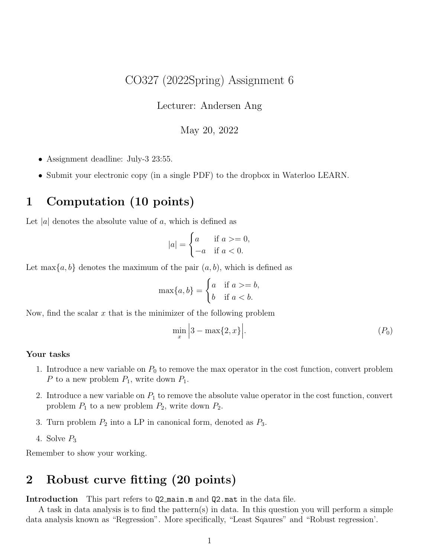### CO327 (2022Spring) Assignment 6

Lecturer: Andersen Ang

### May 20, 2022

- Assignment deadline: July-3 23:55.
- Submit your electronic copy (in a single PDF) to the dropbox in Waterloo LEARN.

## 1 Computation (10 points)

Let |a| denotes the absolute value of  $a$ , which is defined as

$$
|a| = \begin{cases} a & \text{if } a > = 0, \\ -a & \text{if } a < 0. \end{cases}
$$

Let max $\{a, b\}$  denotes the maximum of the pair  $(a, b)$ , which is defined as

$$
\max\{a, b\} = \begin{cases} a & \text{if } a > = b, \\ b & \text{if } a < b. \end{cases}
$$

Now, find the scalar  $x$  that is the minimizer of the following problem

$$
\min_{x} \left| 3 - \max\{2, x\} \right|.
$$
 (P<sub>0</sub>)

#### Your tasks

- 1. Introduce a new variable on  $P_0$  to remove the max operator in the cost function, convert problem P to a new problem  $P_1$ , write down  $P_1$ .
- 2. Introduce a new variable on  $P_1$  to remove the absolute value operator in the cost function, convert problem  $P_1$  to a new problem  $P_2$ , write down  $P_2$ .
- 3. Turn problem  $P_2$  into a LP in canonical form, denoted as  $P_3$ .
- 4. Solve  $P_3$

Remember to show your working.

# 2 Robust curve fitting (20 points)

Introduction This part refers to Q2 main.m and Q2.mat in the data file.

A task in data analysis is to find the pattern(s) in data. In this question you will perform a simple data analysis known as "Regression". More specifically, "Least Sqaures" and "Robust regression'.